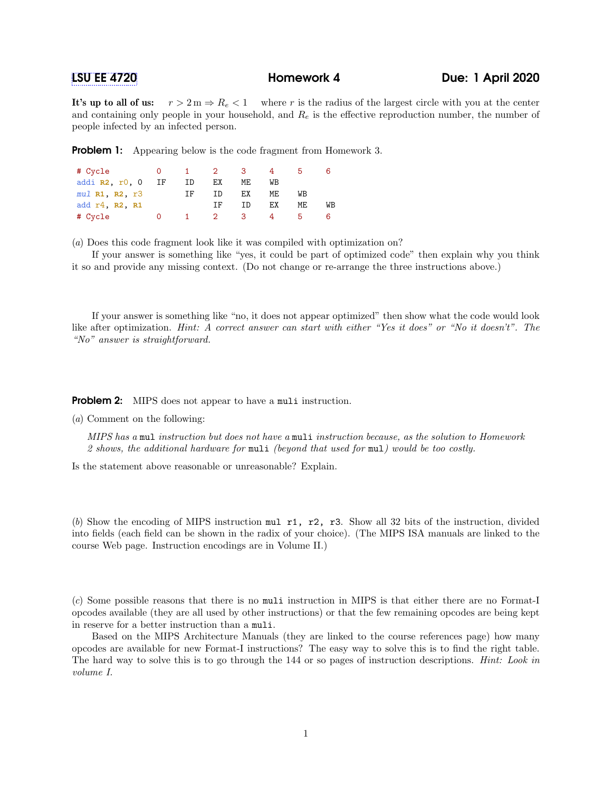It's up to all of us:  $r > 2 m \Rightarrow R_e < 1$  where r is the radius of the largest circle with you at the center and containing only people in your household, and  $R_e$  is the effective reproduction number, the number of people infected by an infected person.

**Problem 1:** Appearing below is the code fragment from Homework 3.

| # Cycle                | $\overline{0}$ |     | $1 \quad 2 \quad$ | - 3- |    |    |    |
|------------------------|----------------|-----|-------------------|------|----|----|----|
| addi $R2, r0, 0$       | IF             | ID  | ЕX                | ME   | WВ |    |    |
| $mul$ R1, R2, $r3$     |                | TF. | ΙD                | ЕX   | ME | WB |    |
| add $r4$ , $R2$ , $R1$ |                |     | TF.               | TD   | ЕX | ME | WВ |
| # Cycle                |                |     | $\overline{2}$    | 3    |    |    |    |

(a) Does this code fragment look like it was compiled with optimization on?

If your answer is something like "yes, it could be part of optimized code" then explain why you think it so and provide any missing context. (Do not change or re-arrange the three instructions above.)

If your answer is something like "no, it does not appear optimized" then show what the code would look like after optimization. Hint: A correct answer can start with either "Yes it does" or "No it doesn't". The "No" answer is straightforward.

**Problem 2:** MIPS does not appear to have a muli instruction.

(a) Comment on the following:

MIPS has a mul instruction but does not have a muli instruction because, as the solution to Homework 2 shows, the additional hardware for muli (beyond that used for mul) would be too costly.

Is the statement above reasonable or unreasonable? Explain.

(b) Show the encoding of MIPS instruction mul r1, r2, r3. Show all 32 bits of the instruction, divided into fields (each field can be shown in the radix of your choice). (The MIPS ISA manuals are linked to the course Web page. Instruction encodings are in Volume II.)

(c) Some possible reasons that there is no muli instruction in MIPS is that either there are no Format-I opcodes available (they are all used by other instructions) or that the few remaining opcodes are being kept in reserve for a better instruction than a muli.

Based on the MIPS Architecture Manuals (they are linked to the course references page) how many opcodes are available for new Format-I instructions? The easy way to solve this is to find the right table. The hard way to solve this is to go through the 144 or so pages of instruction descriptions. *Hint: Look in* volume I.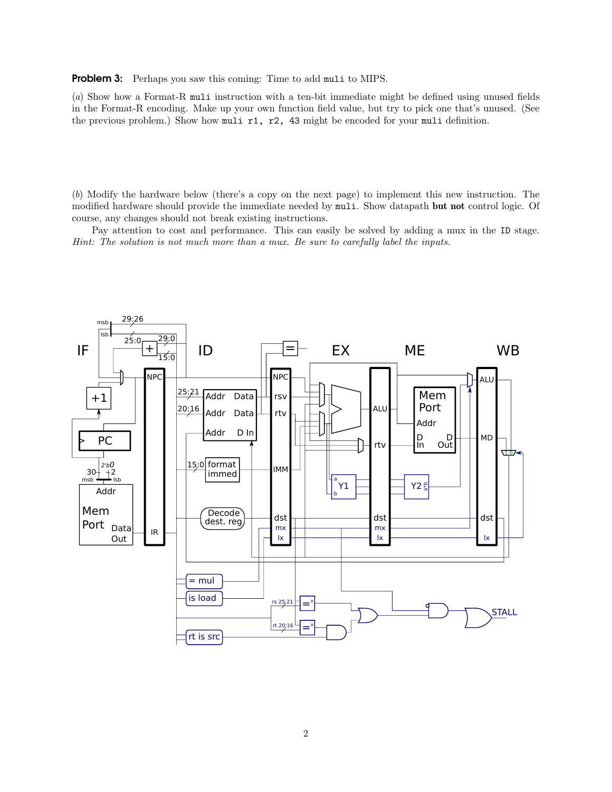Problem 3: Perhaps you saw this coming: Time to add muli to MIPS.

(a) Show how a Format-R muli instruction with a ten-bit immediate might be defined using unused fields in the Format-R encoding. Make up your own function field value, but try to pick one that's unused. (See the previous problem.) Show how muli r1, r2, 43 might be encoded for your muli definition.

(b) Modify the hardware below (there's a copy on the next page) to implement this new instruction. The modified hardware should provide the immediate needed by muli. Show datapath but not control logic. Of course, any changes should not break existing instructions.

Pay attention to cost and performance. This can easily be solved by adding a mux in the ID stage. Hint: The solution is not much more than a mux. Be sure to carefully label the inputs.